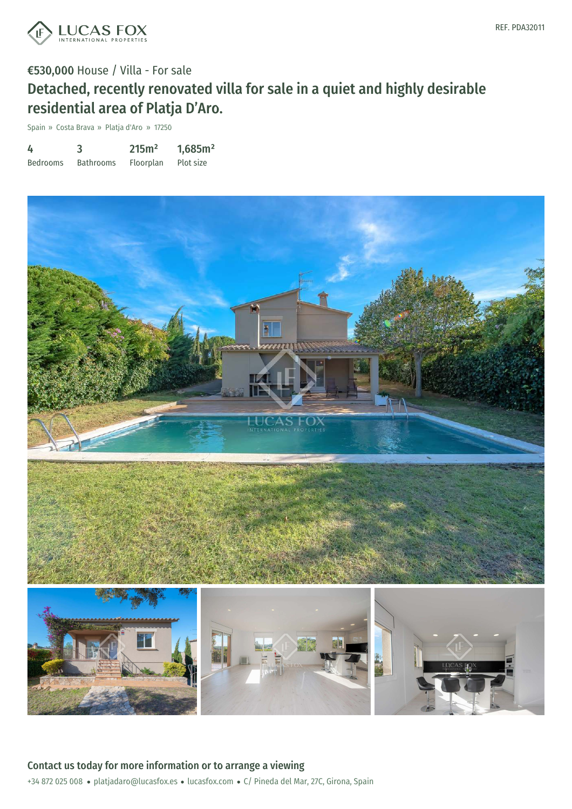

# €530,000 House / Villa - For sale Detached, recently renovated villa for sale in a quiet and highly desirable residential area of Platja D'Aro.

Spain » Costa Brava » Platja d'Aro » 17250

| 4               | 3                | 215m <sup>2</sup> | 1,685m <sup>2</sup> |
|-----------------|------------------|-------------------|---------------------|
| <b>Bedrooms</b> | <b>Bathrooms</b> | Floorplan         | Plot size           |

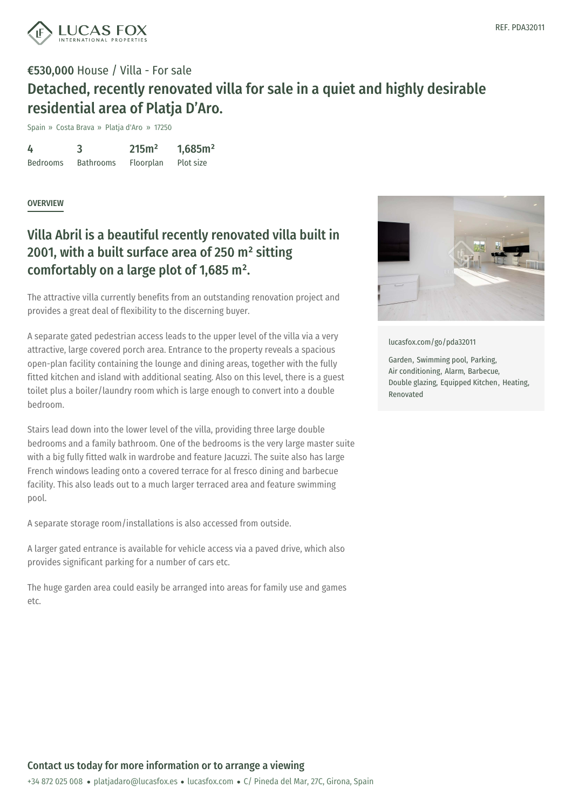

# €530,000 House / Villa - For sale Detached, recently renovated villa for sale in a quiet and highly desirable residential area of Platja D'Aro.

Spain » Costa Brava » Platja d'Aro » 17250

4 Bedrooms 3 Bathrooms 215m² Floorplan 1,685m² Plot size

#### **OVERVIEW**

### Villa Abril is a beautiful recently renovated villa built in 2001, with a built surface area of 250 m² sitting comfortably on a large plot of 1,685 m².

The attractive villa currently benefits from an outstanding renovation project and provides a great deal of flexibility to the discerning buyer.

A separate gated pedestrian access leads to the upper level of the villa via a very attractive, large covered porch area. Entrance to the property reveals a spacious open-plan facility containing the lounge and dining areas, together with the fully fitted kitchen and island with additional seating. Also on this level, there is a guest toilet plus a boiler/laundry room which is large enough to convert into a double bedroom.

Stairs lead down into the lower level of the villa, providing three large double bedrooms and a family bathroom. One of the bedrooms is the very large master suite with a big fully fitted walk in wardrobe and feature Jacuzzi. The suite also has large French windows leading onto a covered terrace for al fresco dining and barbecue facility. This also leads out to a much larger terraced area and feature swimming pool.

A separate storage room/installations is also accessed from outside.

A larger gated entrance is available for vehicle access via a paved drive, which also provides significant parking for a number of cars etc.

The huge garden area could [easily](mailto:platjadaro@lucasfox.es) be arr[anged](https://www.lucasfox.com) into areas for family use and games etc.



[lucasfox.com/go/pda32011](https://www.lucasfox.com/go/pda32011)

Garden, Swimming pool, Parking, Air conditioning, Alarm, Barbecue, Double glazing, Equipped Kitchen, Heating, Renovated